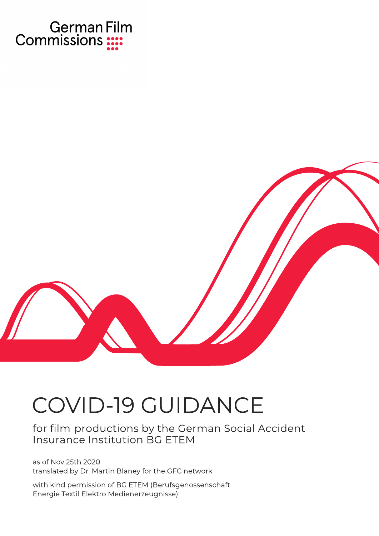

# **COVID-19 GUIDANCE**

for film productions by the German Social Accident Insurance Institution BG ETEM

as of Nov 25th 2020 translated by Dr. Martin Blaney for the GFC network

with kind permission of BG ETEM (Berufsgenossenschaft Energie Textil Elektro Medienerzeugnisse)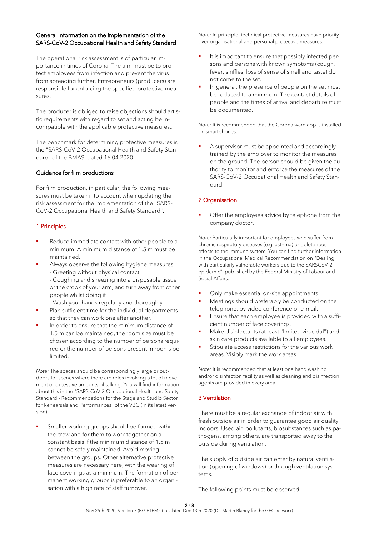## General information on the implementation of the SARS-CoV-2 Occupational Health and Safety Standard

The operational risk assessment is of particular importance in times of Corona. The aim must be to protect employees from infection and prevent the virus from spreading further. Entrepreneurs (producers) are responsible for enforcing the specified protective measures.

The producer is obliged to raise objections should artistic requirements with regard to set and acting be incompatible with the applicable protective measures,.

The benchmark for determining protective measures is the "SARS-CoV-2 Occupational Health and Safety Standard" of the BMAS, dated 16.04.2020.

### Guidance for film productions

For film production, in particular, the following measures must be taken into account when updating the risk assessment for the implementation of the "SARS-CoV-2 Occupational Health and Safety Standard".

## 1 Principles

- Reduce immediate contact with other people to a minimum. A minimum distance of 1.5 m must be maintained.
- Always observe the following hygiene measures: - Greeting without physical contact,
	- Coughing and sneezing into a disposable tissue or the crook of your arm, and turn away from other people whilst doing it
	- Wash your hands regularly and thoroughly.
- Plan sufficient time for the individual departments so that they can work one after another.
- In order to ensure that the minimum distance of 1.5 m can be maintained, the room size must be chosen according to the number of persons required or the number of persons present in rooms be limited.

*Note:* The spaces should be correspondingly large or outdoors for scenes where there are roles involving a lot of movement or excessive amounts of talking. You will find information about this in the "SARS-CoV-2 Occupational Health and Safety Standard - Recommendations for the Stage and Studio Sector for Rehearsals and Performances" of the VBG (in its latest version).

Smaller working groups should be formed within the crew and for them to work together on a constant basis if the minimum distance of 1.5 m cannot be safely maintained. Avoid moving between the groups. Other alternative protective measures are necessary here, with the wearing of face coverings as a minimum. The formation of permanent working groups is preferable to an organisation with a high rate of staff turnover.

*Note:* In principle, technical protective measures have priority over organisational and personal protective measures.

- It is important to ensure that possibly infected persons and persons with known symptoms (cough, fever, sniffles, loss of sense of smell and taste) do not come to the set.
- In general, the presence of people on the set must be reduced to a minimum. The contact details of people and the times of arrival and departure must be documented.

*Note:* It is recommended that the Corona warn app is installed on smartphones.

A supervisor must be appointed and accordingly trained by the employer to monitor the measures on the ground. The person should be given the authority to monitor and enforce the measures of the SARS-CoV-2 Occupational Health and Safety Standard.

# 2 Organisation

Offer the employees advice by telephone from the company doctor.

*Note:* Particularly important for employees who suffer from chronic respiratory diseases (e.g. asthma) or deleterious effects to the immune system. You can find further information in the Occupational Medical Recommendation on "Dealing with particularly vulnerable workers due to the SARSCoV-2 epidemic", published by the Federal Ministry of Labour and Social Affairs.

- Only make essential on-site appointments.
- Meetings should preferably be conducted on the telephone, by video conference or e-mail.
- Ensure that each employee is provided with a sufficient number of face coverings.
- Make disinfectants (at least "limited virucidal") and skin care products available to all employees.
- Stipulate access restrictions for the various work areas. Visibly mark the work areas.

*Note:* It is recommended that at least one hand washing and/or disinfection facility as well as cleaning and disinfection agents are provided in every area.

# 3 Ventilation

There must be a regular exchange of indoor air with fresh outside air in order to guarantee good air quality indoors. Used air, pollutants, biosubstances such as pathogens, among others, are transported away to the outside during ventilation.

The supply of outside air can enter by natural ventilation (opening of windows) or through ventilation systems.

The following points must be observed: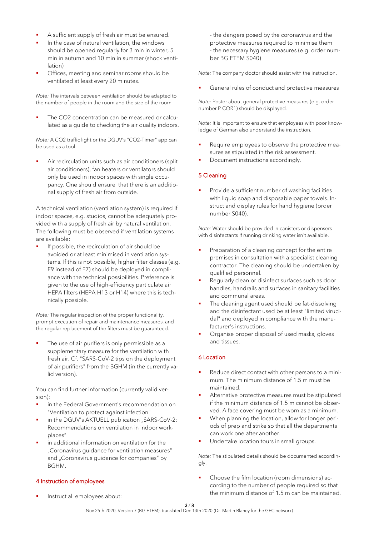- A sufficient supply of fresh air must be ensured.
- In the case of natural ventilation, the windows should be opened regularly for 3 min in winter, 5 min in autumn and 10 min in summer (shock ventilation)
- Offices, meeting and seminar rooms should be ventilated at least every 20 minutes.

*Note:* The intervals between ventilation should be adapted to the number of people in the room and the size of the room

The CO2 concentration can be measured or calculated as a guide to checking the air quality indoors.

*Note:* A CO2 traffic light or the DGUV's "CO2-Timer" app can be used as a tool.

Air recirculation units such as air conditioners (split air conditioners), fan heaters or ventilators should only be used in indoor spaces with single occupancy. One should ensure that there is an additional supply of fresh air from outside.

A technical ventilation (ventilation system) is required if indoor spaces, e.g. studios, cannot be adequately provided with a supply of fresh air by natural ventilation. The following must be observed if ventilation systems are available:

If possible, the recirculation of air should be avoided or at least minimised in ventilation systems. If this is not possible, higher filter classes (e.g. F9 instead of F7) should be deployed in compliance with the technical possibilities. Preference is given to the use of high-efficiency particulate air HEPA filters (HEPA H13 or H14) where this is technically possible.

*Note:* The regular inspection of the proper functionality, prompt execution of repair and maintenance measures, and the regular replacement of the filters must be guaranteed.

The use of air purifiers is only permissible as a supplementary measure for the ventilation with fresh air. Cf. "SARS-CoV-2 tips on the deployment of air purifiers" from the BGHM (in the currently valid version).

You can find further information (currently valid version):

- in the Federal Government's recommendation on "Ventilation to protect against infection"
- in the DGUV's AKTUELL publication "SARS-CoV-2: Recommendations on ventilation in indoor workplaces"
- in additional information on ventilation for the "Coronavirus guidance for ventilation measures" and "Coronavirus guidance for companies" by BGHM.

# 4 Instruction of employees

Instruct all employees about:

- the dangers posed by the coronavirus and the protective measures required to minimise them - the necessary hygiene measures (e.g. order number BG ETEM S040)

*Note:* The company doctor should assist with the instruction.

General rules of conduct and protective measures

*Note:* Poster about general protective measures (e.g. order number P COR1) should be displayed.

*Note:* It is important to ensure that employees with poor knowledge of German also understand the instruction.

- Require employees to observe the protective measures as stipulated in the risk assessment.
- Document instructions accordingly.

# 5 Cleaning

■ Provide a sufficient number of washing facilities with liquid soap and disposable paper towels. Instruct and display rules for hand hygiene (order number S040).

*Note:* Water should be provided in canisters or dispensers with disinfectants if running drinking water isn't available.

- Preparation of a cleaning concept for the entire premises in consultation with a specialist cleaning contractor. The cleaning should be undertaken by qualified personnel.
- Regularly clean or disinfect surfaces such as door handles, handrails and surfaces in sanitary facilities and communal areas.
- The cleaning agent used should be fat-dissolving and the disinfectant used be at least "limited virucidal" and deployed in compliance with the manufacturer's instructions.
- Organise proper disposal of used masks, gloves and tissues.

# 6 Location

- Reduce direct contact with other persons to a minimum. The minimum distance of 1.5 m must be maintained.
- Alternative protective measures must be stipulated if the minimum distance of 1.5 m cannot be observed. A face covering must be worn as a minimum.
- When planning the location, allow for longer periods of prep and strike so that all the departments can work one after another.
- Undertake location tours in small groups.

*Note:* The stipulated details should be documented accordingly.

▪ Choose the film location (room dimensions) according to the number of people required so that the minimum distance of 1.5 m can be maintained.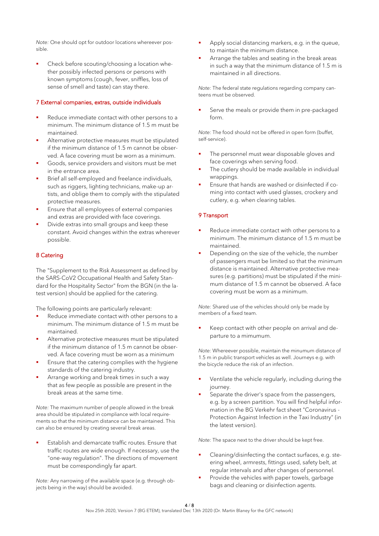*Note:* One should opt for outdoor locations whereever possible.

Check before scouting/choosing a location whether possibly infected persons or persons with known symptoms (cough, fever, sniffles, loss of sense of smell and taste) can stay there.

### 7 External companies, extras, outside individuals

- Reduce immediate contact with other persons to a minimum. The minimum distance of 1.5 m must be maintained.
- Alternative protective measures must be stipulated if the minimum distance of 1.5 m cannot be observed. A face covering must be worn as a minimum.
- Goods, service providers and visitors must be met in the entrance area.
- Brief all self-employed and freelance individuals, such as riggers, lighting technicians, make-up artists, and oblige them to comply with the stipulated protective measures.
- Ensure that all employees of external companies and extras are provided with face coverings.
- Divide extras into small groups and keep these constant. Avoid changes within the extras wherever possible.

## 8 Catering

The "Supplement to the Risk Assessment as defined by the SARS-CoV2 Occupational Health and Safety Standard for the Hospitality Sector" from the BGN (in the latest version) should be applied for the catering.

The following points are particularly relevant:

- Reduce immediate contact with other persons to a minimum. The minimum distance of 1.5 m must be maintained.
- Alternative protective measures must be stipulated if the minimum distance of 1.5 m cannot be observed. A face covering must be worn as a minimum
- Ensure that the catering complies with the hygiene standards of the catering industry.
- Arrange working and break times in such a way that as few people as possible are present in the break areas at the same time.

*Note:* The maximum number of people allowed in the break area should be stipulated in compliance with local requirements so that the minimum distance can be maintained. This can also be ensured by creating several break areas.

Establish and demarcate traffic routes. Ensure that traffic routes are wide enough. If necessary, use the "one-way regulation". The directions of movement must be correspondingly far apart.

*Note:* Any narrowing of the available space (e.g. through objects being in the way) should be avoided.

- Apply social distancing markers, e.g. in the queue, to maintain the minimum distance.
- Arrange the tables and seating in the break areas in such a way that the minimum distance of 1.5 m is maintained in all directions.

*Note:* The federal state regulations regarding company canteens must be observed.

Serve the meals or provide them in pre-packaged form.

*Note:* The food should not be offered in open form (buffet, self-service).

- The personnel must wear disposable gloves and face coverings when serving food.
- The cutlery should be made available in individual wrappings.
- Ensure that hands are washed or disinfected if coming into contact with used glasses, crockery and cutlery, e.g. when clearing tables.

## 9 Transport

- Reduce immediate contact with other persons to a minimum. The minimum distance of 1.5 m must be maintained.
- Depending on the size of the vehicle, the number of passengers must be limited so that the minimum distance is maintained. Alternative protective measures (e.g. partitions) must be stipulated if the minimum distance of 1.5 m cannot be observed. A face covering must be worn as a minimum.

*Note:* Shared use of the vehicles should only be made by members of a fixed team.

Keep contact with other people on arrival and departure to a mimumum.

*Note:* Whereever possible, maintain the minumum distance of 1.5 m in public transport vehicles as well. Journeys e.g. with the bicycle reduce the risk of an infection.

- Ventilate the vehicle regularly, including during the journey.
- Separate the driver's space from the passengers, e.g. by a screen partition. You will find helpful information in the BG Verkehr fact sheet "Coronavirus - Protection Against Infection in the Taxi Industry" (in the latest version).

*Note:* The space next to the driver should be kept free.

- Cleaning/disinfecting the contact surfaces, e.g. steering wheel, armrests, fittings used, safety belt, at regular intervals and after changes of personnel.
- Provide the vehicles with paper towels, garbage bags and cleaning or disinfection agents.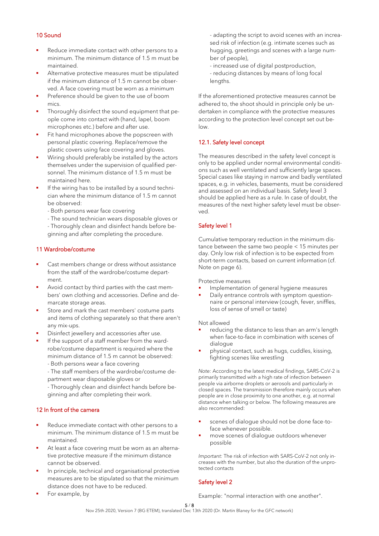## 10 Sound

- Reduce immediate contact with other persons to a minimum. The minimum distance of 1.5 m must be maintained.
- Alternative protective measures must be stipulated if the minimum distance of 1.5 m cannot be observed. A face covering must be worn as a minimum
- Preference should be given to the use of boom mics.
- Thoroughly disinfect the sound equipment that people come into contact with (hand, lapel, boom microphones etc.) before and after use.
- Fit hand microphones above the popscreen with personal plastic covering. Replace/remove the plastic covers using face covering and gloves.
- Wiring should preferably be installed by the actors themselves under the supervision of qualified personnel. The minimum distance of 1.5 m must be maintained here.
- If the wiring has to be installed by a sound technician where the minimum distance of 1.5 m cannot be observed:
	- Both persons wear face covering
	- The sound technician wears disposable gloves or - Thoroughly clean and disinfect hands before beginning and after completing the procedure.

## 11 Wardrobe/costume

- Cast members change or dress without assistance from the staff of the wardrobe/costume department.
- Avoid contact by third parties with the cast members' own clothing and accessories. Define and demarcate storage areas.
- Store and mark the cast members' costume parts and items of clothing separately so that there aren't any mix-ups.
- Disinfect jewellery and accessories after use.
- If the support of a staff member from the wardrobe/costume department is required where the minimum distance of 1.5 m cannot be observed:
	- Both persons wear a face covering

- The staff members of the wardrobe/costume department wear disposable gloves or

- Thoroughly clean and disinfect hands before beginning and after completing their work.

# 12 In front of the camera

- Reduce immediate contact with other persons to a minimum. The minimum distance of 1.5 m must be maintained.
- At least a face covering must be worn as an alternative protective measure if the minimum distance cannot be observed.
- In principle, technical and organisational protective measures are to be stipulated so that the minimum distance does not have to be reduced.
- For example, by

- adapting the script to avoid scenes with an increased risk of infection (e.g. intimate scenes such as hugging, greetings and scenes with a large number of people),

- increased use of digital postproduction,

- reducing distances by means of long focal lengths.

If the aforementioned protective measures cannot be adhered to, the shoot should in principle only be undertaken in compliance with the protective measures according to the protection level concept set out below.

# 12.1. Safety level concept

The measures described in the safety level concept is only to be applied under normal environmental conditions such as well ventilated and sufficiently large spaces. Special cases like staying in narrow and badly ventilated spaces, e.g. in vehicles, basements, must be considered and assessed on an individual basis. Safety level 3 should be applied here as a rule. In case of doubt, the measures of the next higher safety level must be observed.

## Safety level 1

Cumulative temporary reduction in the minimum distance between the same two people < 15 minutes per day. Only low risk of infection is to be expected from short-term contacts, based on current information (cf. Note on page 6).

Protective measures

- Implementation of general hygiene measures
- Daily entrance controls with symptom questionnaire or personal interview (cough, fever, sniffles, loss of sense of smell or taste)

Not allowed

- reducing the distance to less than an arm's length when face-to-face in combination with scenes of dialogue
- physical contact, such as hugs, cuddles, kissing, fighting scenes like wrestling

*Note:* According to the latest medical findings, SARS-CoV-2 is primarily transmitted with a high rate of infection between people via airborne droplets or aerosols and particularly in closed spaces. The transmission therefore mainly occurs when people are in close proximity to one another, e.g. at normal distance when talking or below. The following measures are also recommended:

- scenes of dialogue should not be done face-toface whenever possible.
- move scenes of dialogue outdoors whenever possible

*Important:* The risk of infection with SARS-CoV-2 not only increases with the number, but also the duration of the unprotected contacts

# Safety level 2

Example: "normal interaction with one another".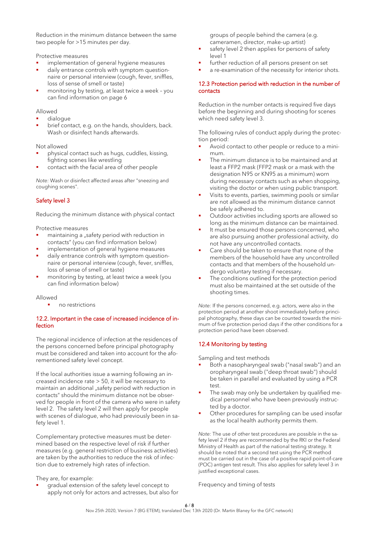Reduction in the minimum distance between the same two people for >15 minutes per day.

Protective measures

- implementation of general hygiene measures
- daily entrance controls with symptom questionnaire or personal interview (cough, fever, sniffles, loss of sense of smell or taste)
- monitoring by testing, at least twice a week you can find information on page 6

Allowed

- dialogue
- brief contact, e.g. on the hands, shoulders, back. Wash or disinfect hands afterwards.

Not allowed

- physical contact such as hugs, cuddles, kissing, fighting scenes like wrestling
- contact with the facial area of other people

*Note:* Wash or disinfect affected areas after "sneezing and coughing scenes".

# Safety level 3

Reducing the minimum distance with physical contact

Protective measures

- maintaining a "safety period with reduction in contacts" (you can find information below)
- implementation of general hygiene measures
- daily entrance controls with symptom questionnaire or personal interview (cough, fever, sniffles, loss of sense of smell or taste)
- monitoring by testing, at least twice a week (you can find information below)

Allowed

no restrictions

## 12.2. Important in the case of increased incidence of infection

The regional incidence of infection at the residences of the persons concerned before principal photography must be considered and taken into account for the aforementioned safety level concept.

If the local authorities issue a warning following an increased incidence rate > 50, it will be necessary to maintain an additional "safety period with reduction in contacts" should the minimum distance not be observed for people in front of the camera who were in safety level 2. The safety level 2 will then apply for people with scenes of dialogue, who had previously been in safety level 1.

Complementary protective measures must be determined based on the respective level of risk if further measures (e.g. general restriction of business activities) are taken by the authorities to reduce the risk of infection due to extremely high rates of infection.

They are, for example:

gradual extension of the safety level concept to apply not only for actors and actresses, but also for groups of people behind the camera (e.g. cameramen, director, make-up artist)

- safety level 2 then applies for persons of safety level 1
- further reduction of all persons present on set
- a re-examination of the necessity for interior shots.

### 12.3 Protection period with reduction in the number of contacts

Reduction in the number ontacts is required five days before the beginning and during shooting for scenes which need safety level 3.

The following rules of conduct apply during the protection period:

- Avoid contact to other people or reduce to a minimum.
- The minimum distance is to be maintained and at least a FFP2 mask (FFP2 mask or a mask with the designation N95 or KN95 as a minimum) worn during necessary contacts such as when shopping, visiting the doctor or when using public transport.
- Visits to events, parties, swimming pools or similar are not allowed as the minimum distance cannot be safely adhered to.
- Outdoor activities including sports are allowed so long as the minimum distance can be maintained.
- It must be ensured those persons concerned, who are also pursuing another professional activity, do not have any uncontrolled contacts.
- Care should be taken to ensure that none of the members of the household have any uncontrolled contacts and that members of the household undergo voluntary testing if necessary.
- The conditions outlined for the protection period must also be maintained at the set outside of the shooting times.

*Note:* If the persons concerned, e.g. actors, were also in the protection period at another shoot immediately before principal photography, these days can be counted towards the minimum of five protection period days if the other conditions for a protection period have been observed.

# 12.4 Monitoring by testing

Sampling and test methods

- Both a nasopharyngeal swab ("nasal swab") and an oropharyngeal swab ("deep throat swab") should be taken in parallel and evaluated by using a PCR test.
- The swab may only be undertaken by qualified medical personnel who have been previously instructed by a doctor.
- Other procedures for sampling can be used insofar as the local health authority permits them.

*Note:* The use of other test procedures are possible in the safety level 2 if they are recommended by the RKI or the Federal Ministry of Health as part of the national testing strategy. It should be noted that a second test using the PCR method must be carried out in the case of a positive rapid point-of-care (POC) antigen test result. This also applies for safety level 3 in justified exceptional cases.

Frequency and timing of tests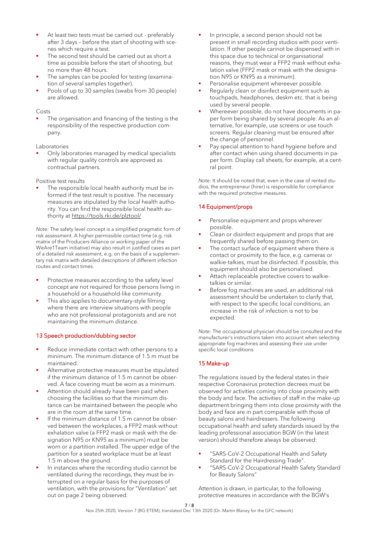- At least two tests must be carried out preferably after 3 days – before the start of shooting with scenes which require a test.
- The second test should be carried out as short a time as possible before the start of shooting, but no more than 48 hours.
- The samples can be pooled for testing (examination of several samples together).
- Pools of up to 30 samples (swabs from 30 people) are allowed.

#### Costs

The organisation and financing of the testing is the responsibility of the respective production company.

#### Laboratories

Only laboratories managed by medical specialists with regular quality controls are approved as contractual partners.

#### Positive test results

The responsible local health authority must be informed if the test result is positive. The necessary measures are stipulated by the local health authority. You can find the responsible local health authority a[t https://tools.rki.de/plztool/](https://tools.rki.de/plztool/) 

*Note:* The safety level concept is a simplified pragmatic form of risk assessment. A higher permissible contact time (e.g. risk matrix of the Producers Alliance or working paper of the WeAre1Team initiative) may also result in justified cases as part of a detailed risk assessment, e.g. on the basis of a supplementary risk matrix with detailed descriptions of different infection routes and contact times.

- Protective measures according to the safety level concept are not required for those persons living in a household or a household-like community.
- This also applies to documentary-style filming where there are interview situations with people who are not professional protagonists and are not maintaining the minimum distance.

### 13 Speech production/dubbing sector

- Reduce immediate contact with other persons to a minimum. The minimum distance of 1.5 m must be maintained.
- Alternative protective measures must be stipulated if the minimum distance of 1.5 m cannot be observed. A face covering must be worn as a minimum.
- Attention should already have been paid when choosing the facilities so that the minimum distance can be maintained between the people who are in the room at the same time.
- If the minimum distance of 1.5 m cannot be observed between the workplaces, a FFP2 mask without exhalation valve (a FFP2 mask or mask with the designation N95 or KN95 as a minimum) must be worn or a partition installed. The upper edge of the partition for a seated workplace must be at least 1.5 m above the ground.
- In instances where the recording studio cannot be ventilated during the recordings, they must be interrupted on a regular basis for the purposes of ventilation, with the provisions for "Ventilation" set out on page 2 being observed.
- In principle, a second person should not be present in small recording studios with poor ventilation. If other people cannot be dispensed with in this space due to technical or organisational reasons, they must wear a FFP2 mask without exhalation valve (FFP2 mask or mask with the designation N95 or KN95 as a minimum).
- Personalise equipment whereever possible.
- Regularly clean or disinfect equipment such as touchpads, headphones, deskm etc. that is being used by several people.
- Whereever possible, do not have documents in paper form being shared by several people. As an alternative, for example, use screens or use touch screens. Regular cleaning must be ensured after the change of personnel.
- Pay special attention to hand hygiene before and after contact when using shared documents in paper form. Display call sheets, for example, at a central point.

*Note:* It should be noted that, even in the case of rented studios, the entrepreneur (hirer) is responsible for compliance with the required protective measures.

# 14 Equipment/props

- Personalise equipment and props wherever possible.
- Clean or disinfect equipment and props that are frequently shared before passing them on.
- The contact surface of equipment where there is contact or proximity to the face, e.g. cameras or walkie-talkies, must be disinfected. If possible, this equipment should also be personalised.
- Attach replaceable protective covers to walkietalkies or similar.
- Before fog machines are used, an additional risk assessment should be undertaken to clarify that, with respect to the specific local conditions, an increase in the risk of infection is not to be expected.

*Note:* The occupational physician should be consulted and the manufacturer's instructions taken into account when selecting appropriate fog machines and assessing their use under specific local conditions.

# 15 Make-up

The regulations issued by the federal states in their respective Coronavirus protection decrees must be observed for activities coming into close proximity with the body and face. The activities of staff in the make-up department bringing them into close proximity with the body and face are in part comparable with those of beauty salons and hairdressers. The following occupational health and safety standards issued by the leading professional association BGW (in the latest version) should therefore always be observed:

- "SARS-CoV-2 Occupational Health and Safety Standard for the Hairdressing Trade".
- "SARS-CoV-2 Occupational Health Safety Standard for Beauty Salons"

Attention is drawn, in particular, to the following protective measures in accordance with the BGW's